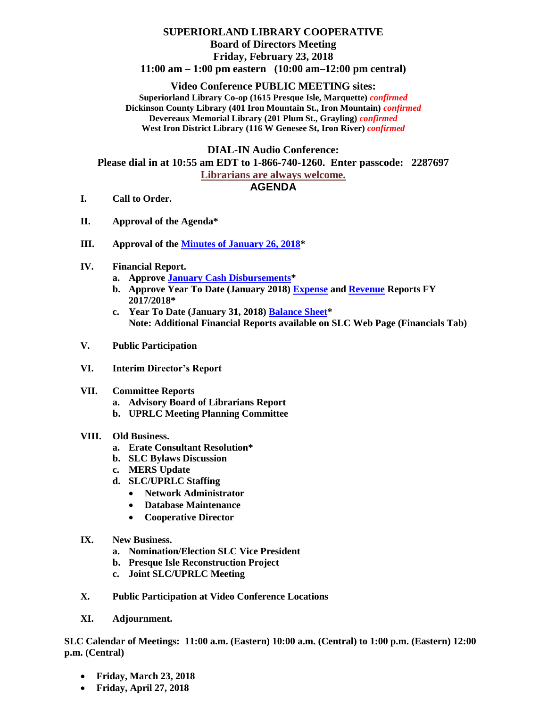# **SUPERIORLAND LIBRARY COOPERATIVE Board of Directors Meeting Friday, February 23, 2018 11:00 am – 1:00 pm eastern (10:00 am–12:00 pm central)**

## **Video Conference PUBLIC MEETING sites:**

**Superiorland Library Co-op (1615 Presque Isle, Marquette)** *confirmed* **Dickinson County Library (401 Iron Mountain St., Iron Mountain)** *confirmed* **Devereaux Memorial Library (201 Plum St., Grayling)** *confirmed* **West Iron District Library (116 W Genesee St, Iron River)** *confirmed*

### **DIAL-IN Audio Conference:**

**Please dial in at 10:55 am EDT to 1-866-740-1260. Enter passcode: 2287697**

#### **Librarians are always welcome.**

## **AGENDA**

- **I. Call to Order.**
- **II. Approval of the Agenda\***
- **III. Approval of the [Minutes of January 26, 2018\\*](http://joomla.uproc.lib.mi.us/SLC/Images/pdf_files/slcmin012618.pdf)**
- **IV. Financial Report.**
	- **a. Approv[e January Cash Disbursements\\*](http://joomla.uproc.lib.mi.us/SLC/Images/pdf_files/slcbills2018jan.pdf)**
	- **b. Approve Year To Date (January 2018) [Expense](http://joomla.uproc.lib.mi.us/SLC/Images/pdf_files/slcexp2018.pdf) and [Revenue](http://joomla.uproc.lib.mi.us/SLC/Images/pdf_files/slcrev2018.pdf) Reports FY 2017/2018\***
	- **c. Year To Date (January 31, 2018[\) Balance Sheet\\*](http://joomla.uproc.lib.mi.us/SLC/Images/pdf_files/balancesheetfy18.pdf) Note: Additional Financial Reports available on SLC Web Page (Financials Tab)**
- **V. Public Participation**
- **VI. Interim Director's Report**
- **VII. Committee Reports**
	- **a. Advisory Board of Librarians Report**
	- **b. UPRLC Meeting Planning Committee**

## **VIII. Old Business.**

- **a. Erate Consultant Resolution\***
- **b. SLC Bylaws Discussion**
- **c. MERS Update**
- **d. SLC/UPRLC Staffing**
	- **Network Administrator**
	- **Database Maintenance**
	- **Cooperative Director**
- **IX. New Business.**
	- **a. Nomination/Election SLC Vice President**
	- **b. Presque Isle Reconstruction Project**
	- **c. Joint SLC/UPRLC Meeting**
- **X. Public Participation at Video Conference Locations**
- **XI. Adjournment.**

**SLC Calendar of Meetings: 11:00 a.m. (Eastern) 10:00 a.m. (Central) to 1:00 p.m. (Eastern) 12:00 p.m. (Central)**

- **Friday, March 23, 2018**
- **Friday, April 27, 2018**